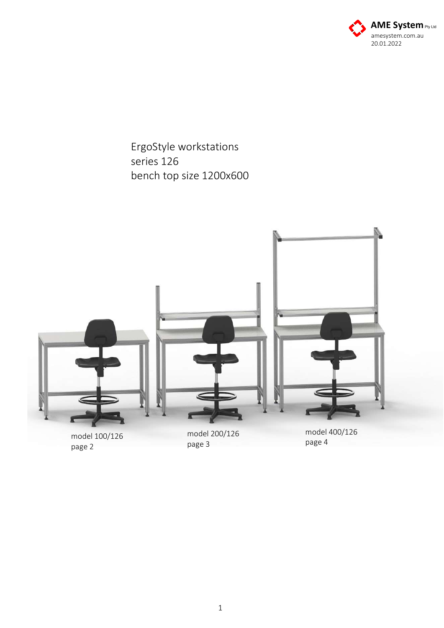

ErgoStyle workstations series 126 bench top size 1200x600

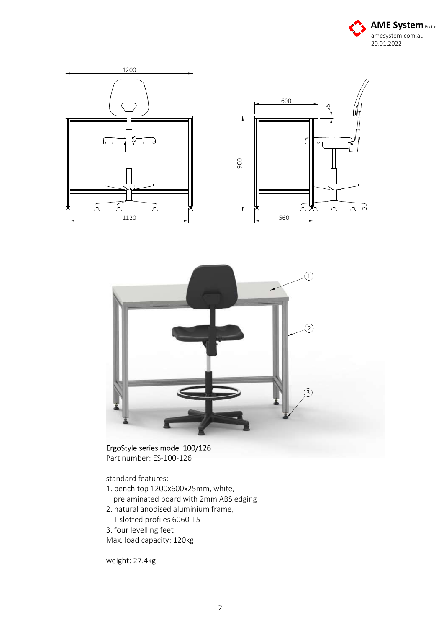





ErgoStyle series model 100/126 Part number: ES-100-126

standard features:

- 1. bench top 1200x600x25mm, white, prelaminated board with 2mm ABS edging
- 2. natural anodised aluminium frame, T slotted profiles 6060-T5
- 3. four levelling feet

Max. load capacity: 120kg

weight: 27.4kg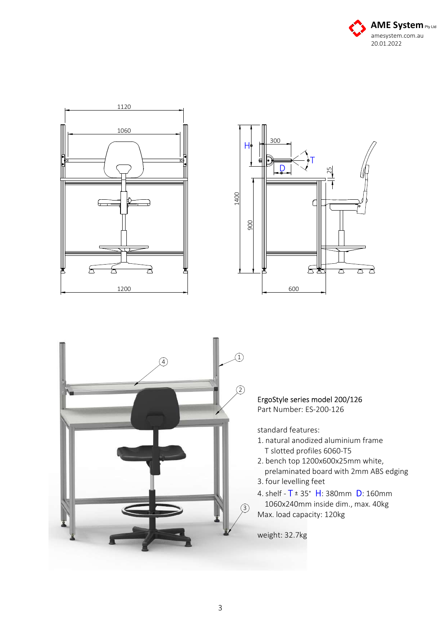







ErgoStyle series model 200/126 Part Number: ES-200-126

standard features:

- 1. natural anodized aluminium frame T slotted profiles 6060-T5
- 2. bench top 1200x600x25mm white, prelaminated board with 2mm ABS edging 3. four levelling feet
- 4. shelf  $T = 35° H: 380mm$  D: 160mm 1060x240mm inside dim., max. 40kg Max. load capacity: 120kg

weight: 32.7kg